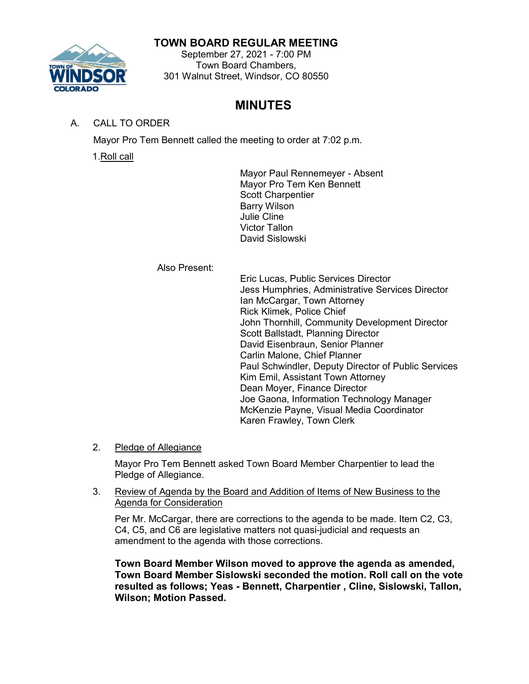## **TOWN BOARD REGULAR MEETING**



#### September 27, 2021 - 7:00 PM Town Board Chambers, 301 Walnut Street, Windsor, CO 80550

# **MINUTES**

# A. CALL TO ORDER

Mayor Pro Tem Bennett called the meeting to order at 7:02 p.m.

1.Roll call

Mayor Paul Rennemeyer - Absent Mayor Pro Tem Ken Bennett Scott Charpentier Barry Wilson Julie Cline Victor Tallon David Sislowski

Also Present:

Eric Lucas, Public Services Director Jess Humphries, Administrative Services Director Ian McCargar, Town Attorney Rick Klimek, Police Chief John Thornhill, Community Development Director Scott Ballstadt, Planning Director David Eisenbraun, Senior Planner Carlin Malone, Chief Planner Paul Schwindler, Deputy Director of Public Services Kim Emil, Assistant Town Attorney Dean Moyer, Finance Director Joe Gaona, Information Technology Manager McKenzie Payne, Visual Media Coordinator Karen Frawley, Town Clerk

## 2. Pledge of Allegiance

Mayor Pro Tem Bennett asked Town Board Member Charpentier to lead the Pledge of Allegiance.

## 3. Review of Agenda by the Board and Addition of Items of New Business to the Agenda for Consideration

Per Mr. McCargar, there are corrections to the agenda to be made. Item C2, C3, C4, C5, and C6 are legislative matters not quasi-judicial and requests an amendment to the agenda with those corrections.

**Town Board Member Wilson moved to approve the agenda as amended, Town Board Member Sislowski seconded the motion. Roll call on the vote resulted as follows; Yeas - Bennett, Charpentier , Cline, Sislowski, Tallon, Wilson; Motion Passed.**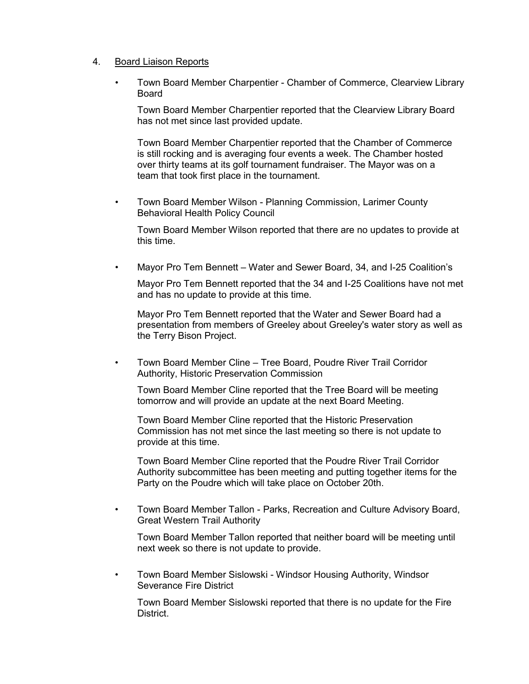#### 4. Board Liaison Reports

• Town Board Member Charpentier - Chamber of Commerce, Clearview Library **Board** 

Town Board Member Charpentier reported that the Clearview Library Board has not met since last provided update.

Town Board Member Charpentier reported that the Chamber of Commerce is still rocking and is averaging four events a week. The Chamber hosted over thirty teams at its golf tournament fundraiser. The Mayor was on a team that took first place in the tournament.

• Town Board Member Wilson - Planning Commission, Larimer County Behavioral Health Policy Council

Town Board Member Wilson reported that there are no updates to provide at this time.

• Mayor Pro Tem Bennett – Water and Sewer Board, 34, and I-25 Coalition's

Mayor Pro Tem Bennett reported that the 34 and I-25 Coalitions have not met and has no update to provide at this time.

Mayor Pro Tem Bennett reported that the Water and Sewer Board had a presentation from members of Greeley about Greeley's water story as well as the Terry Bison Project.

• Town Board Member Cline – Tree Board, Poudre River Trail Corridor Authority, Historic Preservation Commission

Town Board Member Cline reported that the Tree Board will be meeting tomorrow and will provide an update at the next Board Meeting.

Town Board Member Cline reported that the Historic Preservation Commission has not met since the last meeting so there is not update to provide at this time.

Town Board Member Cline reported that the Poudre River Trail Corridor Authority subcommittee has been meeting and putting together items for the Party on the Poudre which will take place on October 20th.

• Town Board Member Tallon - Parks, Recreation and Culture Advisory Board, Great Western Trail Authority

Town Board Member Tallon reported that neither board will be meeting until next week so there is not update to provide.

• Town Board Member Sislowski - Windsor Housing Authority, Windsor Severance Fire District

Town Board Member Sislowski reported that there is no update for the Fire District.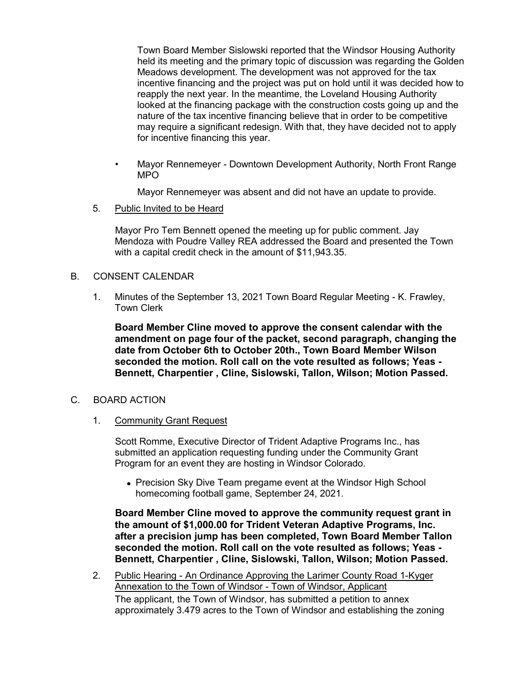Town Board Member Sislowski reported that the Windsor Housing Authority held its meeting and the primary topic of discussion was regarding the Golden Meadows development. The development was not approved for the tax incentive financing and the project was put on hold until it was decided how to reapply the next year. In the meantime, the Loveland Housing Authority looked at the financing package with the construction costs going up and the nature of the tax incentive financing believe that in order to be competitive may require a significant redesign. With that, they have decided not to apply for incentive financing this year.

• Mayor Rennemeyer - Downtown Development Authority, North Front Range MPO

Mayor Rennemeyer was absent and did not have an update to provide.

5. Public Invited to be Heard

Mayor Pro Tem Bennett opened the meeting up for public comment. Jay Mendoza with Poudre Valley REA addressed the Board and presented the Town with a capital credit check in the amount of \$11,943.35.

#### B. CONSENT CALENDAR

1. Minutes of the September 13, 2021 Town Board Regular Meeting - K. Frawley, Town Clerk

**Board Member Cline moved to approve the consent calendar with the amendment on page four of the packet, second paragraph, changing the date from October 6th to October 20th., Town Board Member Wilson seconded the motion. Roll call on the vote resulted as follows; Yeas - Bennett, Charpentier , Cline, Sislowski, Tallon, Wilson; Motion Passed.**

#### C. BOARD ACTION

1. Community Grant Request

Scott Romme, Executive Director of Trident Adaptive Programs Inc., has submitted an application requesting funding under the Community Grant Program for an event they are hosting in Windsor Colorado.

• Precision Sky Dive Team pregame event at the Windsor High School homecoming football game, September 24, 2021.

**Board Member Cline moved to approve the community request grant in the amount of \$1,000.00 for Trident Veteran Adaptive Programs, Inc. after a precision jump has been completed, Town Board Member Tallon seconded the motion. Roll call on the vote resulted as follows; Yeas - Bennett, Charpentier , Cline, Sislowski, Tallon, Wilson; Motion Passed.**

2. Public Hearing - An Ordinance Approving the Larimer County Road 1-Kyger Annexation to the Town of Windsor - Town of Windsor, Applicant The applicant, the Town of Windsor, has submitted a petition to annex approximately 3.479 acres to the Town of Windsor and establishing the zoning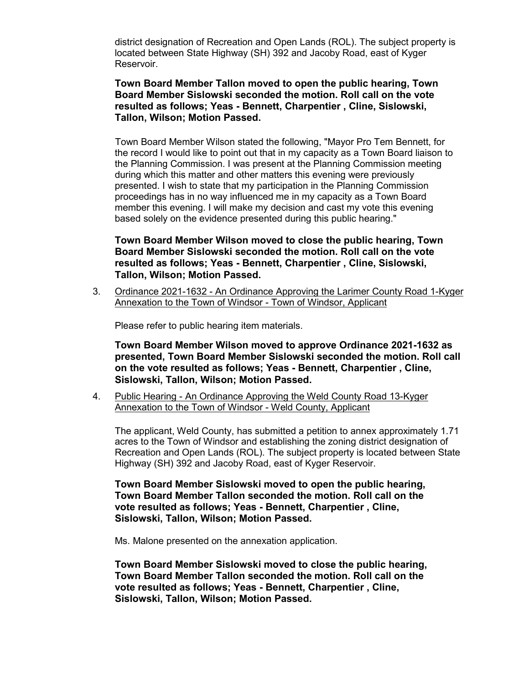district designation of Recreation and Open Lands (ROL). The subject property is located between State Highway (SH) 392 and Jacoby Road, east of Kyger Reservoir.

#### **Town Board Member Tallon moved to open the public hearing, Town Board Member Sislowski seconded the motion. Roll call on the vote resulted as follows; Yeas - Bennett, Charpentier , Cline, Sislowski, Tallon, Wilson; Motion Passed.**

Town Board Member Wilson stated the following, "Mayor Pro Tem Bennett, for the record I would like to point out that in my capacity as a Town Board liaison to the Planning Commission. I was present at the Planning Commission meeting during which this matter and other matters this evening were previously presented. I wish to state that my participation in the Planning Commission proceedings has in no way influenced me in my capacity as a Town Board member this evening. I will make my decision and cast my vote this evening based solely on the evidence presented during this public hearing."

**Town Board Member Wilson moved to close the public hearing, Town Board Member Sislowski seconded the motion. Roll call on the vote resulted as follows; Yeas - Bennett, Charpentier , Cline, Sislowski, Tallon, Wilson; Motion Passed.**

3. Ordinance 2021-1632 - An Ordinance Approving the Larimer County Road 1-Kyger Annexation to the Town of Windsor - Town of Windsor, Applicant

Please refer to public hearing item materials.

**Town Board Member Wilson moved to approve Ordinance 2021-1632 as presented, Town Board Member Sislowski seconded the motion. Roll call on the vote resulted as follows; Yeas - Bennett, Charpentier , Cline, Sislowski, Tallon, Wilson; Motion Passed.**

4. Public Hearing - An Ordinance Approving the Weld County Road 13-Kyger Annexation to the Town of Windsor - Weld County, Applicant

The applicant, Weld County, has submitted a petition to annex approximately 1.71 acres to the Town of Windsor and establishing the zoning district designation of Recreation and Open Lands (ROL). The subject property is located between State Highway (SH) 392 and Jacoby Road, east of Kyger Reservoir.

**Town Board Member Sislowski moved to open the public hearing, Town Board Member Tallon seconded the motion. Roll call on the vote resulted as follows; Yeas - Bennett, Charpentier , Cline, Sislowski, Tallon, Wilson; Motion Passed.**

Ms. Malone presented on the annexation application.

**Town Board Member Sislowski moved to close the public hearing, Town Board Member Tallon seconded the motion. Roll call on the vote resulted as follows; Yeas - Bennett, Charpentier , Cline, Sislowski, Tallon, Wilson; Motion Passed.**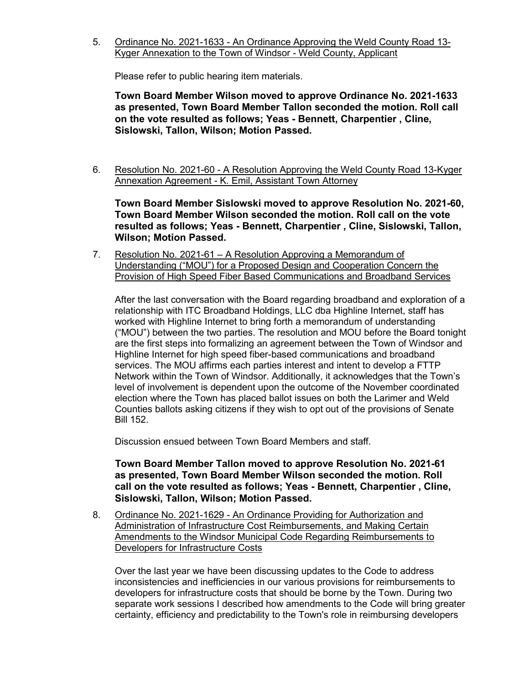5. Ordinance No. 2021-1633 - An Ordinance Approving the Weld County Road 13- Kyger Annexation to the Town of Windsor - Weld County, Applicant

Please refer to public hearing item materials.

**Town Board Member Wilson moved to approve Ordinance No. 2021-1633 as presented, Town Board Member Tallon seconded the motion. Roll call on the vote resulted as follows; Yeas - Bennett, Charpentier , Cline, Sislowski, Tallon, Wilson; Motion Passed.**

6. Resolution No. 2021-60 - A Resolution Approving the Weld County Road 13-Kyger Annexation Agreement - K. Emil, Assistant Town Attorney

**Town Board Member Sislowski moved to approve Resolution No. 2021-60, Town Board Member Wilson seconded the motion. Roll call on the vote resulted as follows; Yeas - Bennett, Charpentier , Cline, Sislowski, Tallon, Wilson; Motion Passed.**

7. Resolution No. 2021-61 – A Resolution Approving a Memorandum of Understanding ("MOU") for a Proposed Design and Cooperation Concern the Provision of High Speed Fiber Based Communications and Broadband Services

After the last conversation with the Board regarding broadband and exploration of a relationship with ITC Broadband Holdings, LLC dba Highline Internet, staff has worked with Highline Internet to bring forth a memorandum of understanding ("MOU") between the two parties. The resolution and MOU before the Board tonight are the first steps into formalizing an agreement between the Town of Windsor and Highline Internet for high speed fiber-based communications and broadband services. The MOU affirms each parties interest and intent to develop a FTTP Network within the Town of Windsor. Additionally, it acknowledges that the Town's level of involvement is dependent upon the outcome of the November coordinated election where the Town has placed ballot issues on both the Larimer and Weld Counties ballots asking citizens if they wish to opt out of the provisions of Senate Bill 152.

Discussion ensued between Town Board Members and staff.

#### **Town Board Member Tallon moved to approve Resolution No. 2021-61 as presented, Town Board Member Wilson seconded the motion. Roll call on the vote resulted as follows; Yeas - Bennett, Charpentier , Cline, Sislowski, Tallon, Wilson; Motion Passed.**

8. Ordinance No. 2021-1629 - An Ordinance Providing for Authorization and Administration of Infrastructure Cost Reimbursements, and Making Certain Amendments to the Windsor Municipal Code Regarding Reimbursements to Developers for Infrastructure Costs

Over the last year we have been discussing updates to the Code to address inconsistencies and inefficiencies in our various provisions for reimbursements to developers for infrastructure costs that should be borne by the Town. During two separate work sessions I described how amendments to the Code will bring greater certainty, efficiency and predictability to the Town's role in reimbursing developers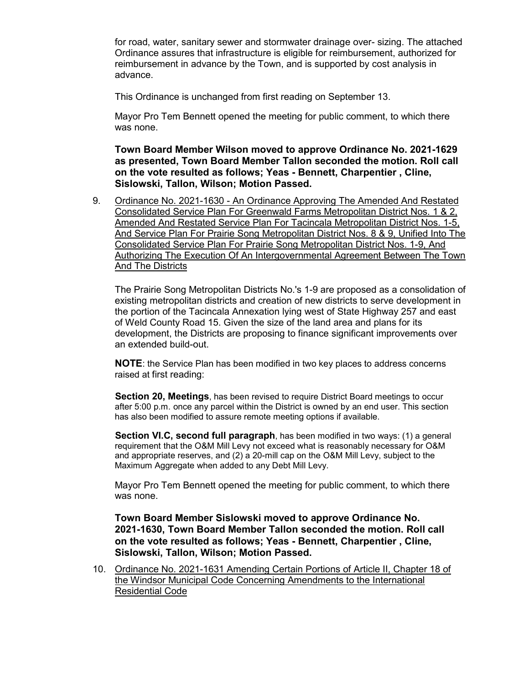for road, water, sanitary sewer and stormwater drainage over- sizing. The attached Ordinance assures that infrastructure is eligible for reimbursement, authorized for reimbursement in advance by the Town, and is supported by cost analysis in advance.

This Ordinance is unchanged from first reading on September 13.

Mayor Pro Tem Bennett opened the meeting for public comment, to which there was none.

**Town Board Member Wilson moved to approve Ordinance No. 2021-1629 as presented, Town Board Member Tallon seconded the motion. Roll call on the vote resulted as follows; Yeas - Bennett, Charpentier , Cline, Sislowski, Tallon, Wilson; Motion Passed.**

9. Ordinance No. 2021-1630 - An Ordinance Approving The Amended And Restated Consolidated Service Plan For Greenwald Farms Metropolitan District Nos. 1 & 2, Amended And Restated Service Plan For Tacincala Metropolitan District Nos. 1-5, And Service Plan For Prairie Song Metropolitan District Nos. 8 & 9, Unified Into The Consolidated Service Plan For Prairie Song Metropolitan District Nos. 1-9, And Authorizing The Execution Of An Intergovernmental Agreement Between The Town And The Districts

The Prairie Song Metropolitan Districts No.'s 1-9 are proposed as a consolidation of existing metropolitan districts and creation of new districts to serve development in the portion of the Tacincala Annexation lying west of State Highway 257 and east of Weld County Road 15. Given the size of the land area and plans for its development, the Districts are proposing to finance significant improvements over an extended build-out.

**NOTE**: the Service Plan has been modified in two key places to address concerns raised at first reading:

**Section 20, Meetings**, has been revised to require District Board meetings to occur after 5:00 p.m. once any parcel within the District is owned by an end user. This section has also been modified to assure remote meeting options if available.

**Section VI.C, second full paragraph**, has been modified in two ways: (1) a general requirement that the O&M Mill Levy not exceed what is reasonably necessary for O&M and appropriate reserves, and (2) a 20-mill cap on the O&M Mill Levy, subject to the Maximum Aggregate when added to any Debt Mill Levy.

Mayor Pro Tem Bennett opened the meeting for public comment, to which there was none.

**Town Board Member Sislowski moved to approve Ordinance No. 2021-1630, Town Board Member Tallon seconded the motion. Roll call on the vote resulted as follows; Yeas - Bennett, Charpentier , Cline, Sislowski, Tallon, Wilson; Motion Passed.**

10. Ordinance No. 2021-1631 Amending Certain Portions of Article II, Chapter 18 of the Windsor Municipal Code Concerning Amendments to the International Residential Code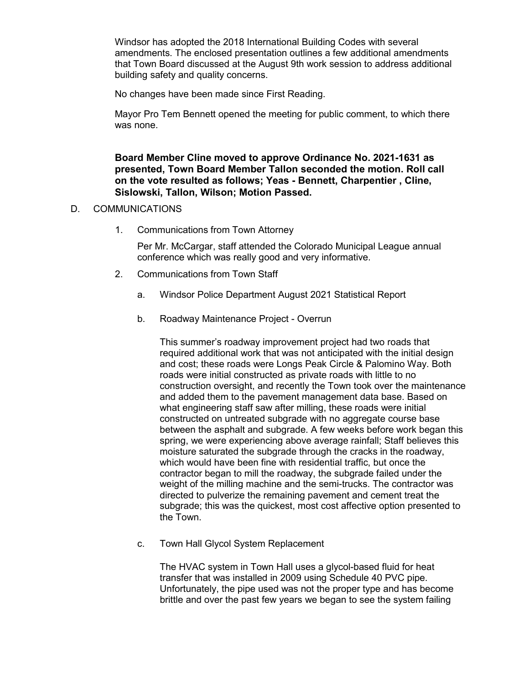Windsor has adopted the 2018 International Building Codes with several amendments. The enclosed presentation outlines a few additional amendments that Town Board discussed at the August 9th work session to address additional building safety and quality concerns.

No changes have been made since First Reading.

Mayor Pro Tem Bennett opened the meeting for public comment, to which there was none.

**Board Member Cline moved to approve Ordinance No. 2021-1631 as presented, Town Board Member Tallon seconded the motion. Roll call on the vote resulted as follows; Yeas - Bennett, Charpentier , Cline, Sislowski, Tallon, Wilson; Motion Passed.**

#### D. COMMUNICATIONS

1. Communications from Town Attorney

Per Mr. McCargar, staff attended the Colorado Municipal League annual conference which was really good and very informative.

- 2. Communications from Town Staff
	- a. Windsor Police Department August 2021 Statistical Report
	- b. Roadway Maintenance Project Overrun

This summer's roadway improvement project had two roads that required additional work that was not anticipated with the initial design and cost; these roads were Longs Peak Circle & Palomino Way. Both roads were initial constructed as private roads with little to no construction oversight, and recently the Town took over the maintenance and added them to the pavement management data base. Based on what engineering staff saw after milling, these roads were initial constructed on untreated subgrade with no aggregate course base between the asphalt and subgrade. A few weeks before work began this spring, we were experiencing above average rainfall; Staff believes this moisture saturated the subgrade through the cracks in the roadway, which would have been fine with residential traffic, but once the contractor began to mill the roadway, the subgrade failed under the weight of the milling machine and the semi-trucks. The contractor was directed to pulverize the remaining pavement and cement treat the subgrade; this was the quickest, most cost affective option presented to the Town.

c. Town Hall Glycol System Replacement

The HVAC system in Town Hall uses a glycol-based fluid for heat transfer that was installed in 2009 using Schedule 40 PVC pipe. Unfortunately, the pipe used was not the proper type and has become brittle and over the past few years we began to see the system failing